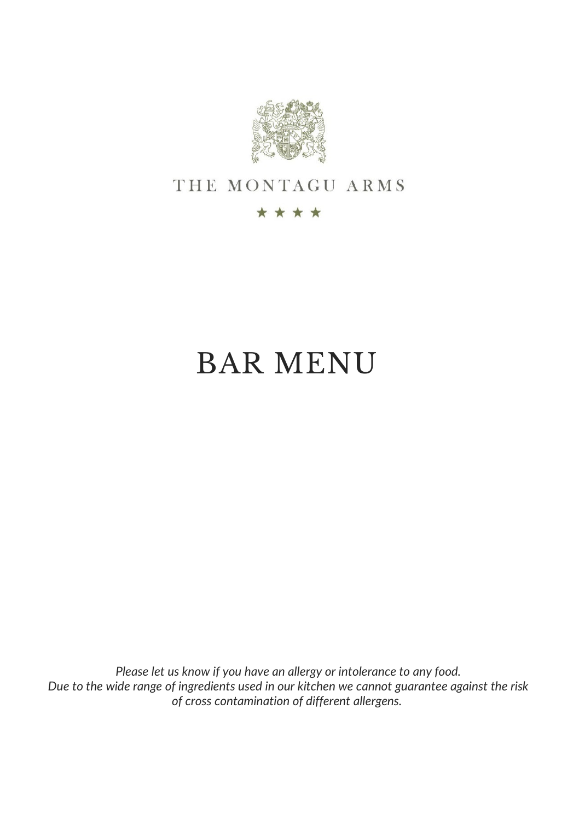

## THE MONTAGU ARMS

#### \*\*\*\*

# BAR MENU

*Please let us know if you have an allergy or intolerance to any food. Due to the wide range of ingredients used in our kitchen we cannot guarantee against the risk of cross contamination of different allergens.*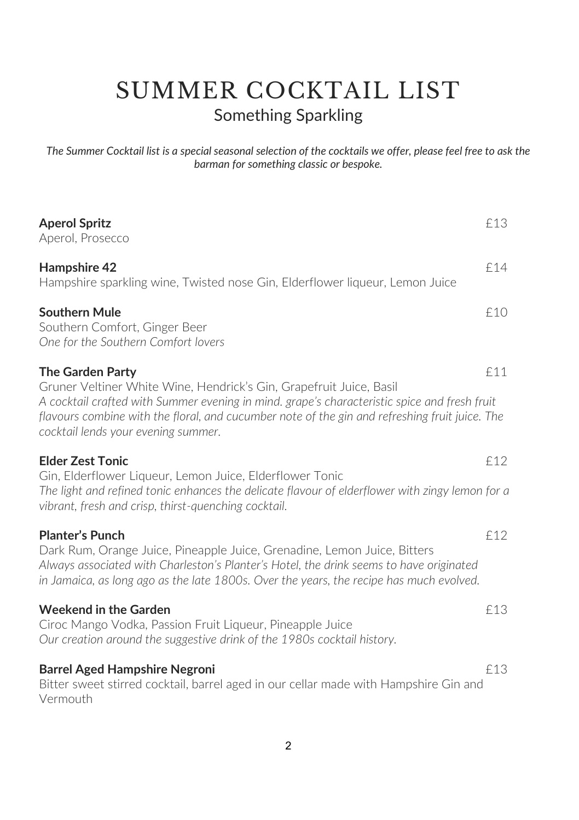# SUMMER COCKTAIL LIST Something Sparkling

*The Summer Cocktail list is a special seasonal selection of the cocktails we offer, please feel free to ask the barman for something classic or bespoke.* 

| <b>Aperol Spritz</b><br>Aperol, Prosecco                                                                                                                                                                                                                                                                                                | £13 |
|-----------------------------------------------------------------------------------------------------------------------------------------------------------------------------------------------------------------------------------------------------------------------------------------------------------------------------------------|-----|
| Hampshire 42<br>Hampshire sparkling wine, Twisted nose Gin, Elderflower liqueur, Lemon Juice                                                                                                                                                                                                                                            | f14 |
| <b>Southern Mule</b><br>Southern Comfort, Ginger Beer<br>One for the Southern Comfort lovers                                                                                                                                                                                                                                            | f10 |
| <b>The Garden Party</b><br>Gruner Veltiner White Wine, Hendrick's Gin, Grapefruit Juice, Basil<br>A cocktail crafted with Summer evening in mind. grape's characteristic spice and fresh fruit<br>flavours combine with the floral, and cucumber note of the gin and refreshing fruit juice. The<br>cocktail lends your evening summer. | £11 |
| <b>Elder Zest Tonic</b><br>Gin, Elderflower Liqueur, Lemon Juice, Elderflower Tonic<br>The light and refined tonic enhances the delicate flavour of elderflower with zingy lemon for a<br>vibrant, fresh and crisp, thirst-quenching cocktail.                                                                                          | f12 |
| <b>Planter's Punch</b><br>Dark Rum, Orange Juice, Pineapple Juice, Grenadine, Lemon Juice, Bitters<br>Always associated with Charleston's Planter's Hotel, the drink seems to have originated<br>in Jamaica, as long ago as the late 1800s. Over the years, the recipe has much evolved.                                                | £12 |
| <b>Weekend in the Garden</b><br>Ciroc Mango Vodka, Passion Fruit Liqueur, Pineapple Juice<br>Our creation around the suggestive drink of the 1980s cocktail history.                                                                                                                                                                    | £13 |
| <b>Barrel Aged Hampshire Negroni</b><br>Bitter sweet stirred cocktail, barrel aged in our cellar made with Hampshire Gin and<br>Vermouth                                                                                                                                                                                                | f13 |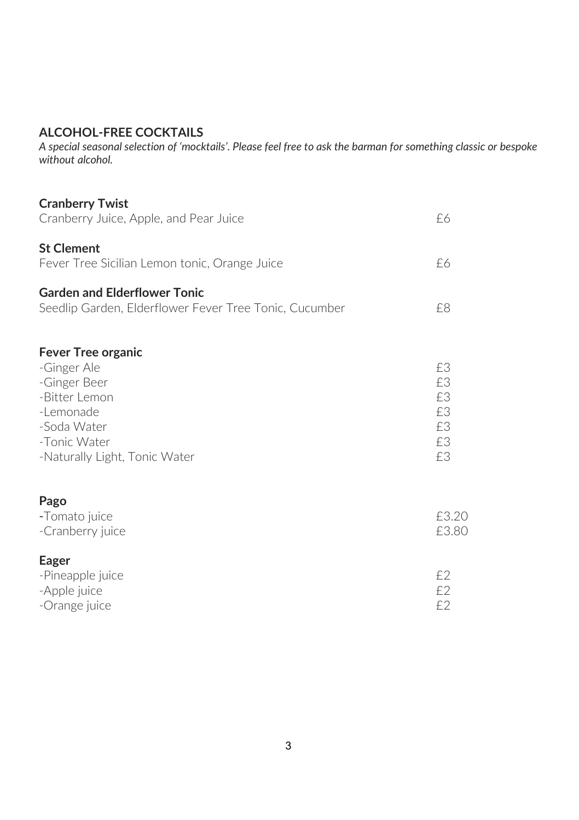#### **ALCOHOL-FREE COCKTAILS**

*A special seasonal selection of 'mocktails'. Please feel free to ask the barman for something classic or bespoke without alcohol.* 

| <b>Cranberry Twist</b>                                 |          |
|--------------------------------------------------------|----------|
| Cranberry Juice, Apple, and Pear Juice                 | £6       |
| <b>St Clement</b>                                      |          |
| Fever Tree Sicilian Lemon tonic, Orange Juice          | £6       |
| <b>Garden and Elderflower Tonic</b>                    |          |
| Seedlip Garden, Elderflower Fever Tree Tonic, Cucumber | £8       |
| <b>Fever Tree organic</b>                              |          |
| -Ginger Ale                                            | £3       |
| -Ginger Beer                                           | £3       |
| -Bitter Lemon                                          | £3       |
| -Lemonade<br>-Soda Water                               | £3<br>£З |
| -Tonic Water                                           | £3       |
| -Naturally Light, Tonic Water                          | f3       |
|                                                        |          |
| Pago<br>-Tomato juice                                  | £3.20    |
| -Cranberry juice                                       | £3.80    |
| Eager                                                  |          |
| -Pineapple juice                                       | £2       |
| -Apple juice                                           | £2       |
| -Orange juice                                          | ££       |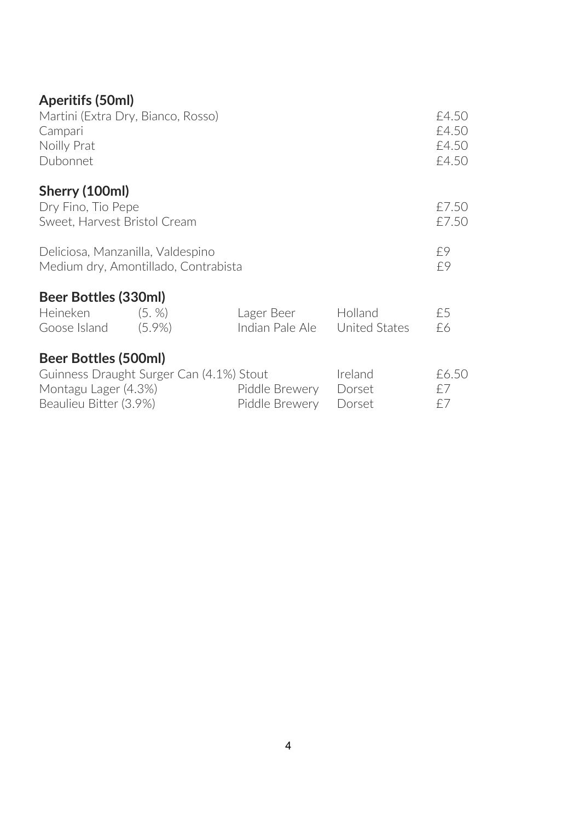### **Aperitifs (50ml)**

| Martini (Extra Dry, Bianco, Rosso)<br>Campari<br>Noilly Prat<br>Dubonnet                                           |  |                                  |                             |                   |
|--------------------------------------------------------------------------------------------------------------------|--|----------------------------------|-----------------------------|-------------------|
| Sherry (100ml)<br>Dry Fino, Tio Pepe<br>Sweet, Harvest Bristol Cream                                               |  |                                  |                             | £7.50<br>£7.50    |
| Deliciosa, Manzanilla, Valdespino<br>Medium dry, Amontillado, Contrabista                                          |  |                                  |                             |                   |
| Beer Bottles (330ml)<br>Heineken (5. %)<br>Goose Island (5.9%)                                                     |  | Lager Beer<br>Indian Pale Ale    | Holland<br>United States    | £5<br>£6          |
| Beer Bottles (500ml)<br>Guinness Draught Surger Can (4.1%) Stout<br>Montagu Lager (4.3%)<br>Beaulieu Bitter (3.9%) |  | Piddle Brewery<br>Piddle Brewery | Ireland<br>Dorset<br>Dorset | £6.50<br>£7<br>£7 |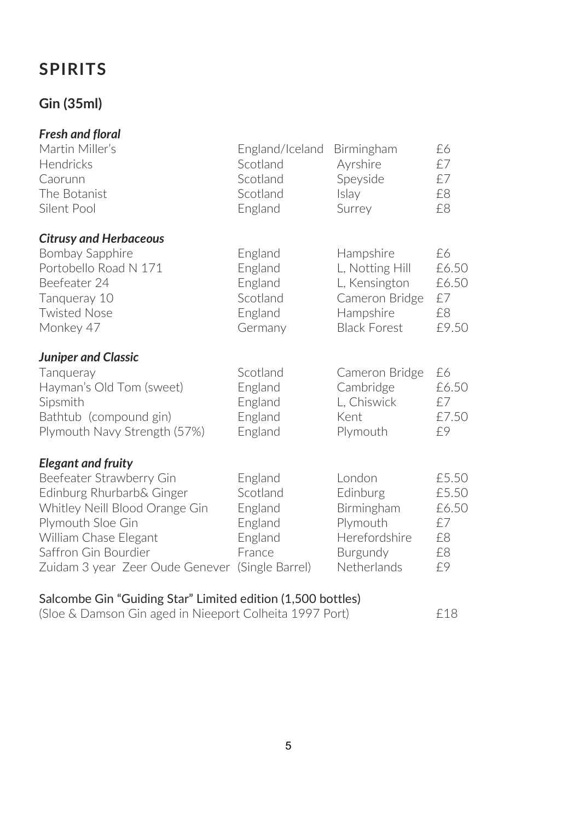## **SPIRITS**

### **Gin (35ml)**

| <b>Fresh and floral</b>         |                 |                     |       |
|---------------------------------|-----------------|---------------------|-------|
| Martin Miller's                 | England/Iceland | Birmingham          | £6    |
| Hendricks                       | Scotland        | Ayrshire            | £7    |
| Caorunn                         | Scotland        | Speyside            | £7    |
| The Botanist                    | Scotland        | Islay               | £8    |
| Silent Pool                     | England         | Surrey              | £8    |
| <b>Citrusy and Herbaceous</b>   |                 |                     |       |
| Bombay Sapphire                 | England         | Hampshire           | £6    |
| Portobello Road N 171           | England         | L, Notting Hill     | £6.50 |
| Beefeater 24                    | England         | L, Kensington       | £6.50 |
| Tanqueray 10                    | Scotland        | Cameron Bridge      | £7    |
| <b>Twisted Nose</b>             | England         | Hampshire           | £8    |
| Monkey 47                       | Germany         | <b>Black Forest</b> | £9.50 |
| <b>Juniper and Classic</b>      |                 |                     |       |
| Tangueray                       | Scotland        | Cameron Bridge      | £6    |
| Hayman's Old Tom (sweet)        | England         | Cambridge           | £6.50 |
| Sipsmith                        | England         | L. Chiswick         | £7    |
| Bathtub (compound gin)          | England         | Kent                | £7.50 |
| Plymouth Navy Strength (57%)    | England         | Plymouth            | £9    |
| <b>Elegant and fruity</b>       |                 |                     |       |
| Beefeater Strawberry Gin        | England         | London              | £5.50 |
| Edinburg Rhurbarb& Ginger       | Scotland        | Edinburg            | £5.50 |
| Whitley Neill Blood Orange Gin  | England         | Birmingham          | £6.50 |
| Plymouth Sloe Gin               | England         | Plymouth            | £7    |
| William Chase Elegant           | England         | Herefordshire       | £8    |
| Saffron Gin Bourdier            | France          | Burgundy            | £8    |
| Zuidam 3 year Zeer Oude Genever | (Single Barrel) | Netherlands         | £9    |
|                                 |                 |                     |       |

#### Salcombe Gin "Guiding Star" Limited edition (1,500 bottles)

| (Sloe & Damson Gin aged in Nieeport Colheita 1997 Port) | £18 |
|---------------------------------------------------------|-----|
|---------------------------------------------------------|-----|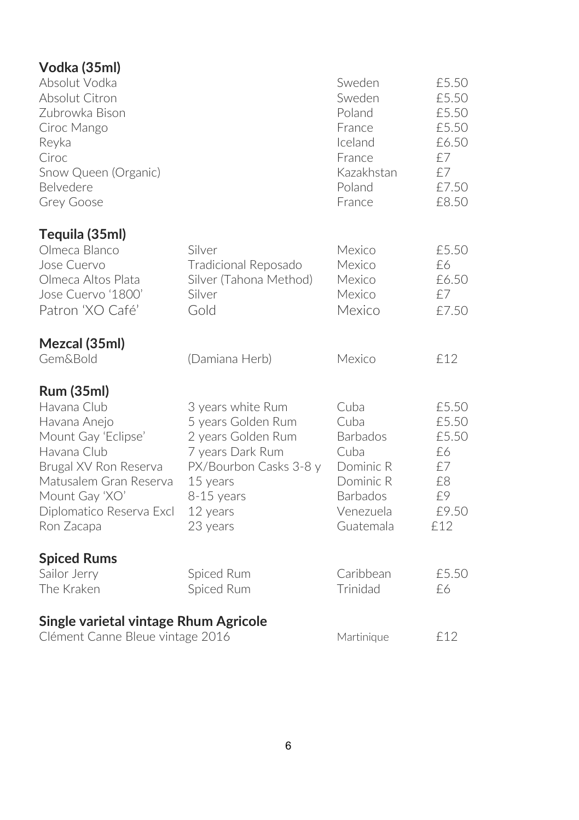| Vodka (35ml)                                                                                                                                                                                          |                                                                                                                                                               |                                                                                                                |                                                                         |
|-------------------------------------------------------------------------------------------------------------------------------------------------------------------------------------------------------|---------------------------------------------------------------------------------------------------------------------------------------------------------------|----------------------------------------------------------------------------------------------------------------|-------------------------------------------------------------------------|
| Absolut Vodka<br>Absolut Citron<br>Zubrowka Bison<br>Ciroc Mango<br>Reyka<br>Ciroc<br>Snow Queen (Organic)<br>Belvedere<br>Grey Goose                                                                 |                                                                                                                                                               | Sweden<br>Sweden<br>Poland<br>France<br>Iceland<br>France<br>Kazakhstan<br>Poland<br>France                    | £5.50<br>£5.50<br>£5.50<br>£5.50<br>£6.50<br>f7<br>f7<br>£7.50<br>£8.50 |
|                                                                                                                                                                                                       |                                                                                                                                                               |                                                                                                                |                                                                         |
| Tequila (35ml)<br>Olmeca Blanco<br>Jose Cuervo<br>Olmeca Altos Plata<br>Jose Cuervo '1800'<br>Patron 'XO Café'                                                                                        | Silver<br>Tradicional Reposado<br>Silver (Tahona Method)<br>Silver<br>Gold                                                                                    | Mexico<br>Mexico<br>Mexico<br>Mexico<br>Mexico                                                                 | £5.50<br>£6<br>£6.50<br>£7<br>£7.50                                     |
| Mezcal (35ml)<br><b>Gem&amp;Bold</b>                                                                                                                                                                  | (Damiana Herb)                                                                                                                                                | Mexico                                                                                                         | £12                                                                     |
| <b>Rum (35ml)</b><br>Havana Club<br>Havana Anejo<br>Mount Gay 'Eclipse'<br>Havana Club<br>Brugal XV Ron Reserva<br>Matusalem Gran Reserva<br>Mount Gay 'XO'<br>Diplomatico Reserva Excl<br>Ron Zacapa | 3 years white Rum<br>5 years Golden Rum<br>2 years Golden Rum<br>7 years Dark Rum<br>PX/Bourbon Casks 3-8 y<br>15 years<br>8-15 years<br>12 years<br>23 years | Cuba<br>Cuba<br><b>Barbados</b><br>Cuba<br>Dominic R<br>Dominic R<br><b>Barbados</b><br>Venezuela<br>Guatemala | £5.50<br>£5.50<br>£5.50<br>£6<br>£7<br>£8<br>£9<br>£9.50<br>£12         |
| <b>Spiced Rums</b><br>Sailor Jerry<br>The Kraken                                                                                                                                                      | Spiced Rum<br>Spiced Rum                                                                                                                                      | Caribbean<br>Trinidad                                                                                          | £5.50<br>£6                                                             |
| Single varietal vintage Rhum Agricole<br>Clément Canne Bleue vintage 2016                                                                                                                             |                                                                                                                                                               | Martinique                                                                                                     | £12                                                                     |

6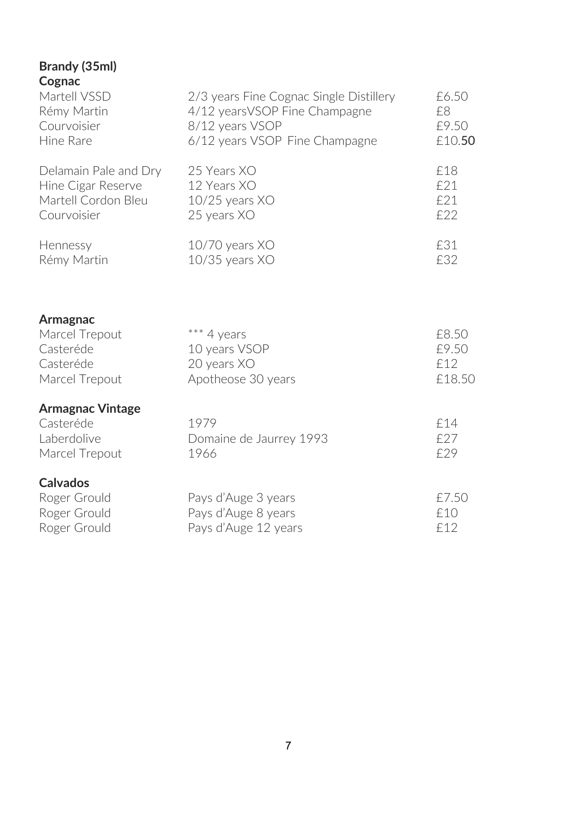#### **Brandy (35ml) Cognac**

| ັບປຸດເທີ<br>Martell VSSD<br>Rémy Martin<br>Courvoisier<br>Hine Rare               | 2/3 years Fine Cognac Single Distillery<br>4/12 years VSOP Fine Champagne<br>8/12 years VSOP<br>6/12 years VSOP Fine Champagne | £6.50<br>£8<br>£9.50<br>£10.50  |
|-----------------------------------------------------------------------------------|--------------------------------------------------------------------------------------------------------------------------------|---------------------------------|
| Delamain Pale and Dry<br>Hine Cigar Reserve<br>Martell Cordon Bleu<br>Courvoisier | 25 Years XO<br>12 Years XO<br>$10/25$ years $XO$<br>25 years XO                                                                | £18<br>£21<br>£21<br>£22        |
| Hennessy<br>Rémy Martin                                                           | 10/70 years XO<br>$10/35$ years $XO$                                                                                           | £31<br>£32                      |
| Armagnac<br>Marcel Trepout<br>Casteréde<br>Casteréde<br>Marcel Trepout            | *** 4 years<br>10 years VSOP<br>20 years XO<br>Apotheose 30 years                                                              | £8.50<br>£9.50<br>£12<br>£18.50 |
| <b>Armagnac Vintage</b><br>Casteréde<br>Laberdolive<br>Marcel Trepout             | 1979<br>Domaine de Jaurrey 1993<br>1966                                                                                        | £14<br>f27<br>£29               |

| Calvador |  |  |
|----------|--|--|

| Calvados     |                      |       |
|--------------|----------------------|-------|
| Roger Grould | Pays d'Auge 3 years  | £7.50 |
| Roger Grould | Pays d'Auge 8 years  | f 10  |
| Roger Grould | Pays d'Auge 12 years | f12   |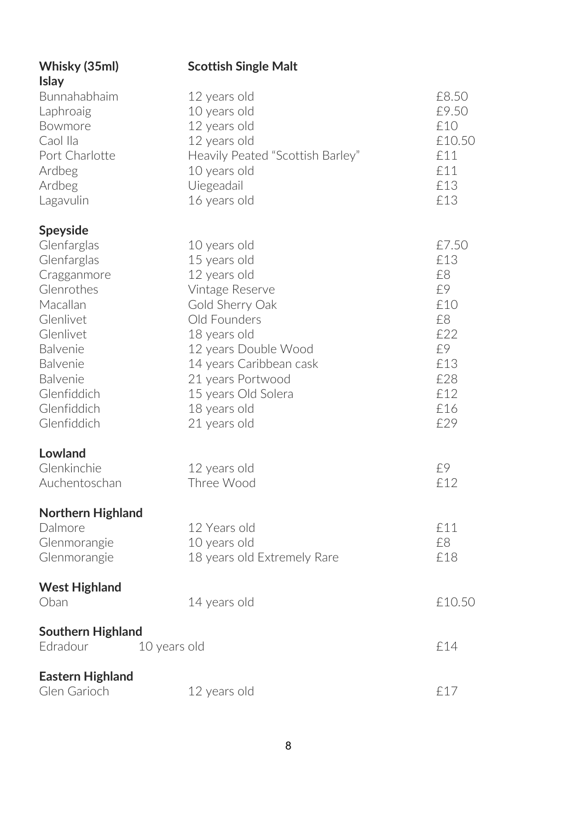| Whisky (35ml)<br><b>Islay</b>                                                                                                                                                                                   | <b>Scottish Single Malt</b>                                                                                                                                                                                                                       |                                                                                       |
|-----------------------------------------------------------------------------------------------------------------------------------------------------------------------------------------------------------------|---------------------------------------------------------------------------------------------------------------------------------------------------------------------------------------------------------------------------------------------------|---------------------------------------------------------------------------------------|
| Bunnahabhaim<br>Laphroaig<br>Bowmore<br>Caol Ila<br>Port Charlotte<br>Ardbeg<br>Ardbeg<br>Lagavulin                                                                                                             | 12 years old<br>10 years old<br>12 years old<br>12 years old<br>Heavily Peated "Scottish Barley"<br>10 years old<br>Uiegeadail<br>16 years old                                                                                                    | £8.50<br>£9.50<br>£10<br>£10.50<br>£11<br>£11<br>£13<br>£13                           |
| Speyside<br>Glenfarglas<br>Glenfarglas<br>Cragganmore<br>Glenrothes<br>Macallan<br>Glenlivet<br>Glenlivet<br><b>Balvenie</b><br><b>Balvenie</b><br><b>Balvenie</b><br>Glenfiddich<br>Glenfiddich<br>Glenfiddich | 10 years old<br>15 years old<br>12 years old<br>Vintage Reserve<br>Gold Sherry Oak<br>Old Founders<br>18 years old<br>12 years Double Wood<br>14 years Caribbean cask<br>21 years Portwood<br>15 years Old Solera<br>18 years old<br>21 years old | £7.50<br>£13<br>£8<br>£9<br>£10<br>£8<br>£22<br>£9<br>£13<br>£28<br>£12<br>£16<br>£29 |
| Lowland<br>Glenkinchie<br>Auchentoschan                                                                                                                                                                         | 12 years old<br>Three Wood                                                                                                                                                                                                                        | £9<br>£12                                                                             |
| Northern Highland<br>Dalmore<br>Glenmorangie<br>Glenmorangie<br><b>West Highland</b>                                                                                                                            | 12 Years old<br>10 years old<br>18 years old Extremely Rare                                                                                                                                                                                       | £11<br>£8<br>£18                                                                      |
| Oban                                                                                                                                                                                                            | 14 years old                                                                                                                                                                                                                                      | £10.50                                                                                |
| Southern Highland<br>Edradour                                                                                                                                                                                   | 10 years old                                                                                                                                                                                                                                      | £14                                                                                   |
| <b>Eastern Highland</b><br>Glen Garioch                                                                                                                                                                         | 12 years old                                                                                                                                                                                                                                      | £17                                                                                   |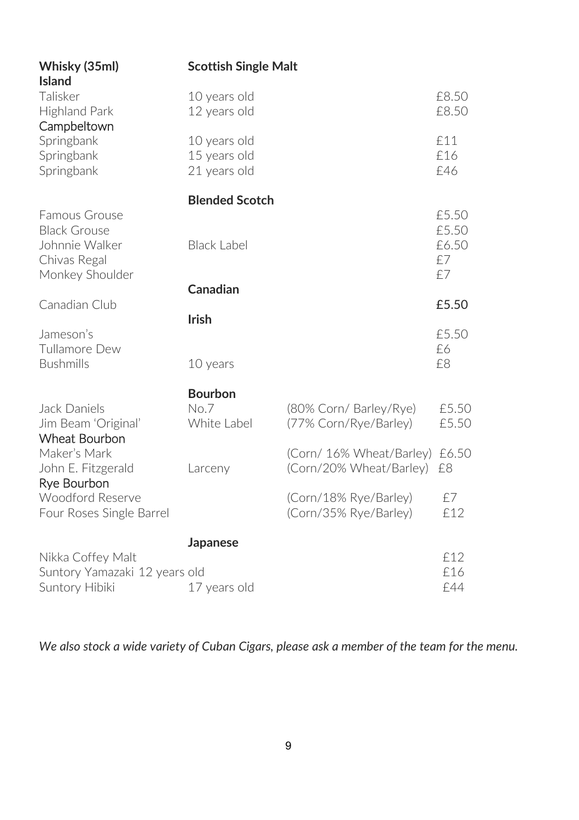| 10 years old<br>12 years old                 |                                                 | £8.50<br>£8.50                                          |
|----------------------------------------------|-------------------------------------------------|---------------------------------------------------------|
| 10 years old<br>15 years old<br>21 years old |                                                 | £11<br>£16<br>£46                                       |
| <b>Blended Scotch</b><br><b>Black Label</b>  |                                                 | £5.50<br>£5.50<br>£6.50<br>£7<br>£7                     |
| Canadian                                     |                                                 | £5.50                                                   |
| <b>Irish</b><br>10 years                     |                                                 | £5.50<br>£6<br>£8                                       |
| <b>Bourbon</b><br>No.7<br>White Label        | (80% Corn/ Barley/Rye)<br>(77% Corn/Rye/Barley) | £5.50<br>£5.50                                          |
| Larceny                                      | (Corn/20% Wheat/Barley)                         | £6.50<br>£8                                             |
|                                              | (Corn/18% Rye/Barley)<br>(Corn/35% Rye/Barley)  | £7<br>£12                                               |
| Japanese                                     |                                                 | £12<br>£16<br>£44                                       |
|                                              | Suntory Yamazaki 12 years old<br>17 years old   | <b>Scottish Single Malt</b><br>(Corn/ 16% Wheat/Barley) |

*We also stock a wide variety of Cuban Cigars, please ask a member of the team for the menu.*